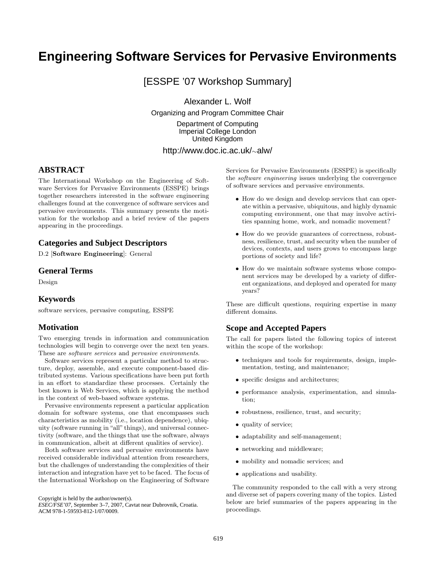# **Engineering Software Services for Pervasive Environments**

[ESSPE '07 Workshop Summary]

Alexander L. Wolf

Organizing and Program Committee Chair

Department of Computing Imperial College London United Kingdom

# http://www.doc.ic.ac.uk/∼alw/

## **ABSTRACT**

The International Workshop on the Engineering of Software Services for Pervasive Environments (ESSPE) brings together researchers interested in the software engineering challenges found at the convergence of software services and pervasive environments. This summary presents the motivation for the workshop and a brief review of the papers appearing in the proceedings.

### **Categories and Subject Descriptors**

D.2 [Software Engineering]: General

#### **General Terms**

Design

#### **Keywords**

software services, pervasive computing, ESSPE

#### **Motivation**

Two emerging trends in information and communication technologies will begin to converge over the next ten years. These are software services and pervasive environments.

Software services represent a particular method to structure, deploy, assemble, and execute component-based distributed systems. Various specifications have been put forth in an effort to standardize these processes. Certainly the best known is Web Services, which is applying the method in the context of web-based software systems.

Pervasive environments represent a particular application domain for software systems, one that encompasses such characteristics as mobility (i.e., location dependence), ubiquity (software running in "all" things), and universal connectivity (software, and the things that use the software, always in communication, albeit at different qualities of service).

Both software services and pervasive environments have received considerable individual attention from researchers, but the challenges of understanding the complexities of their interaction and integration have yet to be faced. The focus of the International Workshop on the Engineering of Software

Copyright is held by the author/owner(s).

*ESEC/FSE'07,* September 3–7, 2007, Cavtat near Dubrovnik, Croatia. ACM 978-1-59593-812-1/07/0009.

Services for Pervasive Environments (ESSPE) is specifically the software engineering issues underlying the convergence of software services and pervasive environments.

- How do we design and develop services that can operate within a pervasive, ubiquitous, and highly dynamic computing environment, one that may involve activities spanning home, work, and nomadic movement?
- How do we provide guarantees of correctness, robustness, resilience, trust, and security when the number of devices, contexts, and users grows to encompass large portions of society and life?
- How do we maintain software systems whose component services may be developed by a variety of different organizations, and deployed and operated for many years?

These are difficult questions, requiring expertise in many different domains.

#### **Scope and Accepted Papers**

The call for papers listed the following topics of interest within the scope of the workshop:

- techniques and tools for requirements, design, implementation, testing, and maintenance;
- specific designs and architectures;
- performance analysis, experimentation, and simulation;
- robustness, resilience, trust, and security;
- quality of service;
- adaptability and self-management;
- networking and middleware;
- mobility and nomadic services; and
- applications and usability.

The community responded to the call with a very strong and diverse set of papers covering many of the topics. Listed below are brief summaries of the papers appearing in the proceedings.